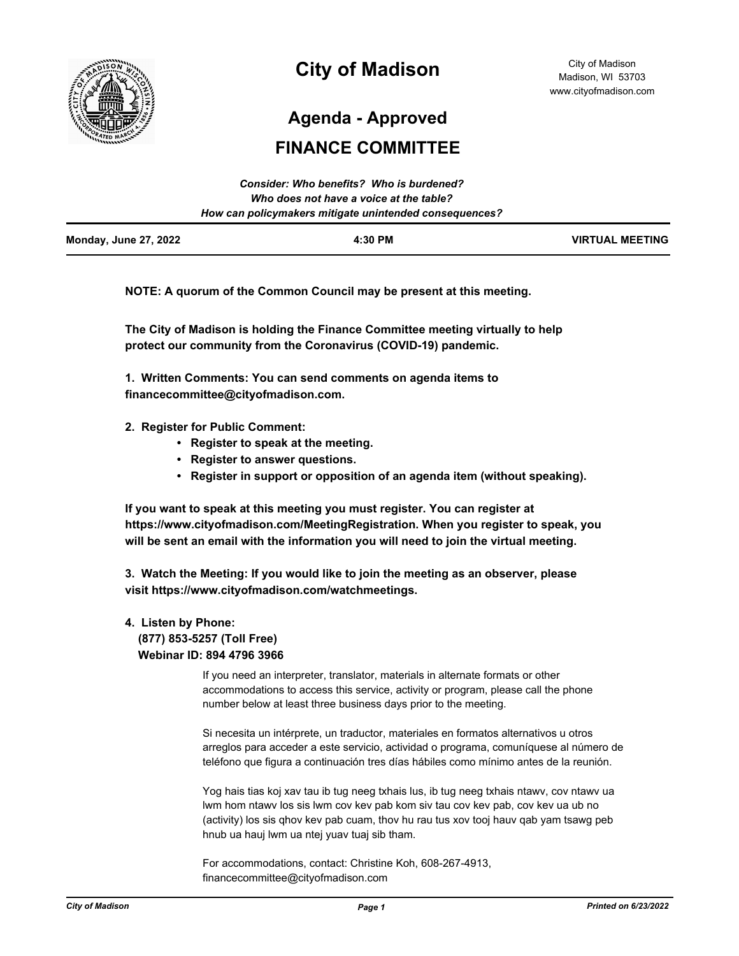

# **City of Madison**

City of Madison Madison, WI 53703 www.cityofmadison.com

**Agenda - Approved**

# **FINANCE COMMITTEE**

|                              | Consider: Who benefits? Who is burdened?               |                        |
|------------------------------|--------------------------------------------------------|------------------------|
|                              | Who does not have a voice at the table?                |                        |
|                              | How can policymakers mitigate unintended consequences? |                        |
| <b>Monday, June 27, 2022</b> | 4:30 PM                                                | <b>VIRTUAL MEETING</b> |

**NOTE: A quorum of the Common Council may be present at this meeting.**

**The City of Madison is holding the Finance Committee meeting virtually to help protect our community from the Coronavirus (COVID-19) pandemic.**

**1. Written Comments: You can send comments on agenda items to financecommittee@cityofmadison.com.**

- **2. Register for Public Comment:** 
	- **Register to speak at the meeting.**
	- **Register to answer questions.**
	- **Register in support or opposition of an agenda item (without speaking).**

**If you want to speak at this meeting you must register. You can register at https://www.cityofmadison.com/MeetingRegistration. When you register to speak, you will be sent an email with the information you will need to join the virtual meeting.**

**3. Watch the Meeting: If you would like to join the meeting as an observer, please visit https://www.cityofmadison.com/watchmeetings.**

# **4. Listen by Phone: (877) 853-5257 (Toll Free) Webinar ID: 894 4796 3966**

If you need an interpreter, translator, materials in alternate formats or other accommodations to access this service, activity or program, please call the phone number below at least three business days prior to the meeting.

Si necesita un intérprete, un traductor, materiales en formatos alternativos u otros arreglos para acceder a este servicio, actividad o programa, comuníquese al número de teléfono que figura a continuación tres días hábiles como mínimo antes de la reunión.

Yog hais tias koj xav tau ib tug neeg txhais lus, ib tug neeg txhais ntawv, cov ntawv ua lwm hom ntawv los sis lwm cov kev pab kom siv tau cov kev pab, cov kev ua ub no (activity) los sis qhov kev pab cuam, thov hu rau tus xov tooj hauv qab yam tsawg peb hnub ua hauj lwm ua ntej yuav tuaj sib tham.

For accommodations, contact: Christine Koh, 608-267-4913, financecommittee@cityofmadison.com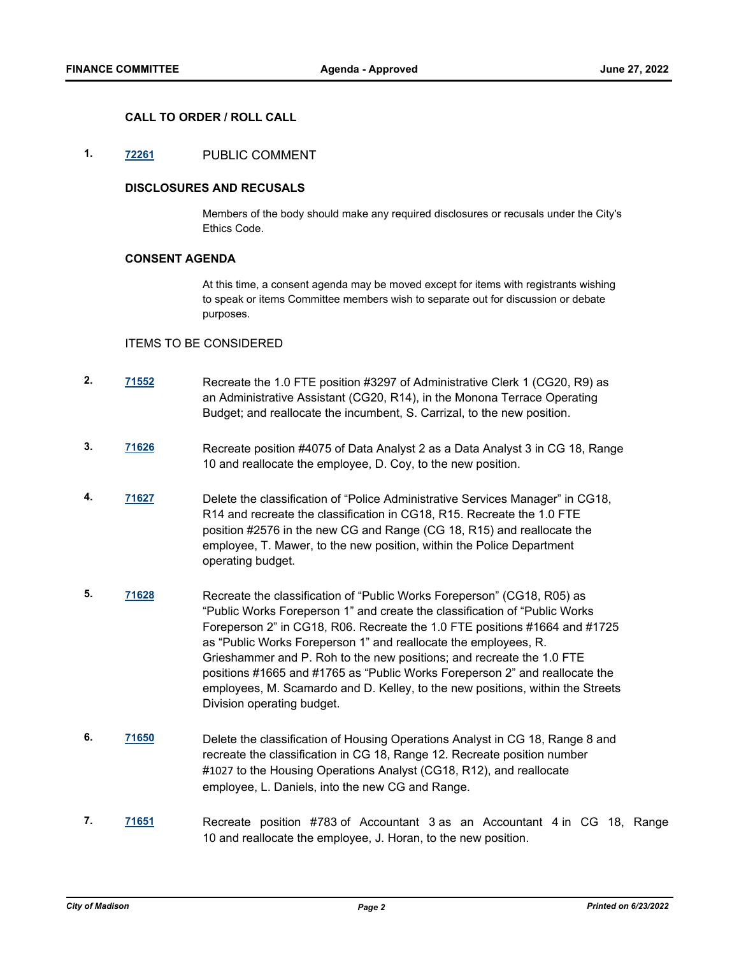### **CALL TO ORDER / ROLL CALL**

## **1. [72261](http://madison.legistar.com/gateway.aspx?m=l&id=/matter.aspx?key=83989)** PUBLIC COMMENT

#### **DISCLOSURES AND RECUSALS**

Members of the body should make any required disclosures or recusals under the City's Ethics Code.

#### **CONSENT AGENDA**

At this time, a consent agenda may be moved except for items with registrants wishing to speak or items Committee members wish to separate out for discussion or debate purposes.

#### ITEMS TO BE CONSIDERED

- **2. [71552](http://madison.legistar.com/gateway.aspx?m=l&id=/matter.aspx?key=83442)** Recreate the 1.0 FTE position #3297 of Administrative Clerk 1 (CG20, R9) as an Administrative Assistant (CG20, R14), in the Monona Terrace Operating Budget; and reallocate the incumbent, S. Carrizal, to the new position.
- **3. [71626](http://madison.legistar.com/gateway.aspx?m=l&id=/matter.aspx?key=83496)** Recreate position #4075 of Data Analyst 2 as a Data Analyst 3 in CG 18, Range 10 and reallocate the employee, D. Coy, to the new position.
- **4. [71627](http://madison.legistar.com/gateway.aspx?m=l&id=/matter.aspx?key=83497)** Delete the classification of "Police Administrative Services Manager" in CG18, R14 and recreate the classification in CG18, R15. Recreate the 1.0 FTE position #2576 in the new CG and Range (CG 18, R15) and reallocate the employee, T. Mawer, to the new position, within the Police Department operating budget.
- **5. [71628](http://madison.legistar.com/gateway.aspx?m=l&id=/matter.aspx?key=83498)** Recreate the classification of "Public Works Foreperson" (CG18, R05) as "Public Works Foreperson 1" and create the classification of "Public Works Foreperson 2" in CG18, R06. Recreate the 1.0 FTE positions #1664 and #1725 as "Public Works Foreperson 1" and reallocate the employees, R. Grieshammer and P. Roh to the new positions; and recreate the 1.0 FTE positions #1665 and #1765 as "Public Works Foreperson 2" and reallocate the employees, M. Scamardo and D. Kelley, to the new positions, within the Streets Division operating budget.
- **6. [71650](http://madison.legistar.com/gateway.aspx?m=l&id=/matter.aspx?key=83520)** Delete the classification of Housing Operations Analyst in CG 18, Range 8 and recreate the classification in CG 18, Range 12. Recreate position number #1027 to the Housing Operations Analyst (CG18, R12), and reallocate employee, L. Daniels, into the new CG and Range.
- **7. [71651](http://madison.legistar.com/gateway.aspx?m=l&id=/matter.aspx?key=83521)** Recreate position #783 of Accountant 3 as an Accountant 4 in CG 18, Range 10 and reallocate the employee, J. Horan, to the new position.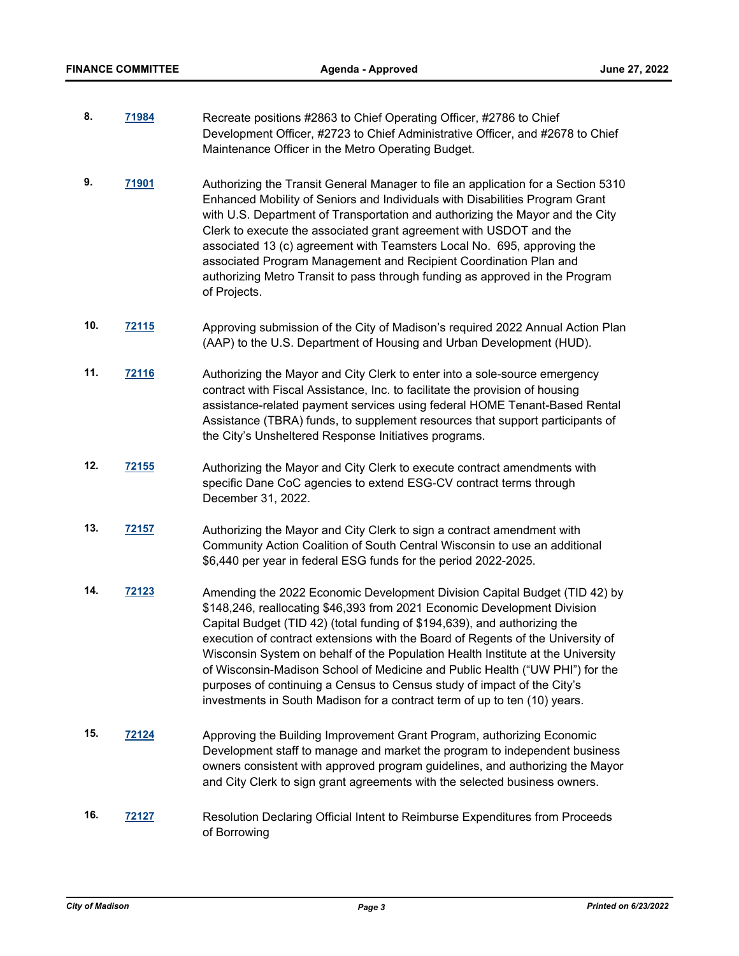- **8. [71984](http://madison.legistar.com/gateway.aspx?m=l&id=/matter.aspx?key=83752)** Recreate positions #2863 to Chief Operating Officer, #2786 to Chief Development Officer, #2723 to Chief Administrative Officer, and #2678 to Chief Maintenance Officer in the Metro Operating Budget.
- **9. [71901](http://madison.legistar.com/gateway.aspx?m=l&id=/matter.aspx?key=83702)** Authorizing the Transit General Manager to file an application for a Section 5310 Enhanced Mobility of Seniors and Individuals with Disabilities Program Grant with U.S. Department of Transportation and authorizing the Mayor and the City Clerk to execute the associated grant agreement with USDOT and the associated 13 (c) agreement with Teamsters Local No. 695, approving the associated Program Management and Recipient Coordination Plan and authorizing Metro Transit to pass through funding as approved in the Program of Projects.
- **10. [72115](http://madison.legistar.com/gateway.aspx?m=l&id=/matter.aspx?key=83872)** Approving submission of the City of Madison's required 2022 Annual Action Plan (AAP) to the U.S. Department of Housing and Urban Development (HUD).
- **11. [72116](http://madison.legistar.com/gateway.aspx?m=l&id=/matter.aspx?key=83873)** Authorizing the Mayor and City Clerk to enter into a sole-source emergency contract with Fiscal Assistance, Inc. to facilitate the provision of housing assistance-related payment services using federal HOME Tenant-Based Rental Assistance (TBRA) funds, to supplement resources that support participants of the City's Unsheltered Response Initiatives programs.
- **12. [72155](http://madison.legistar.com/gateway.aspx?m=l&id=/matter.aspx?key=83894)** Authorizing the Mayor and City Clerk to execute contract amendments with specific Dane CoC agencies to extend ESG-CV contract terms through December 31, 2022.
- **13. [72157](http://madison.legistar.com/gateway.aspx?m=l&id=/matter.aspx?key=83896)** Authorizing the Mayor and City Clerk to sign a contract amendment with Community Action Coalition of South Central Wisconsin to use an additional \$6,440 per year in federal ESG funds for the period 2022-2025.
- **14. [72123](http://madison.legistar.com/gateway.aspx?m=l&id=/matter.aspx?key=83877)** Amending the 2022 Economic Development Division Capital Budget (TID 42) by \$148,246, reallocating \$46,393 from 2021 Economic Development Division Capital Budget (TID 42) (total funding of \$194,639), and authorizing the execution of contract extensions with the Board of Regents of the University of Wisconsin System on behalf of the Population Health Institute at the University of Wisconsin-Madison School of Medicine and Public Health ("UW PHI") for the purposes of continuing a Census to Census study of impact of the City's investments in South Madison for a contract term of up to ten (10) years.
- **15. [72124](http://madison.legistar.com/gateway.aspx?m=l&id=/matter.aspx?key=83878)** Approving the Building Improvement Grant Program, authorizing Economic Development staff to manage and market the program to independent business owners consistent with approved program guidelines, and authorizing the Mayor and City Clerk to sign grant agreements with the selected business owners.
- **16. [72127](http://madison.legistar.com/gateway.aspx?m=l&id=/matter.aspx?key=83881)** Resolution Declaring Official Intent to Reimburse Expenditures from Proceeds of Borrowing